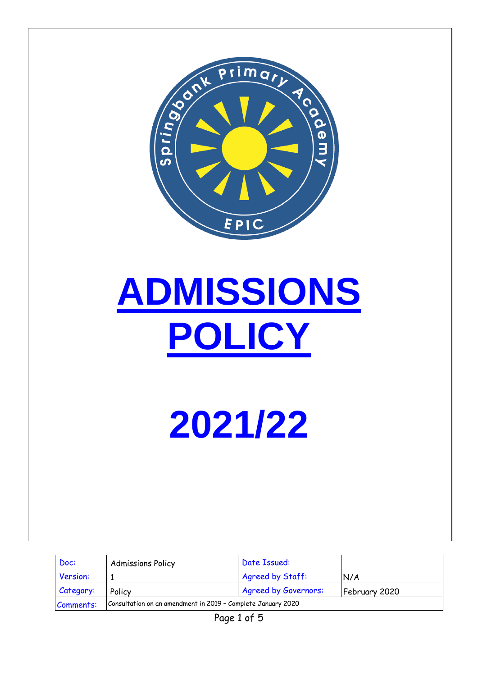

# **ADMISSIONS POLICY**

**2021/22**

| Doc:      | <b>Admissions Policy</b>                                     | Date Issued:                |               |
|-----------|--------------------------------------------------------------|-----------------------------|---------------|
| Version:  |                                                              | Agreed by Staff:            | N/A           |
| Category: | Policy                                                       | <b>Agreed by Governors:</b> | February 2020 |
| Comments: | Consultation on an amendment in 2019 - Complete January 2020 |                             |               |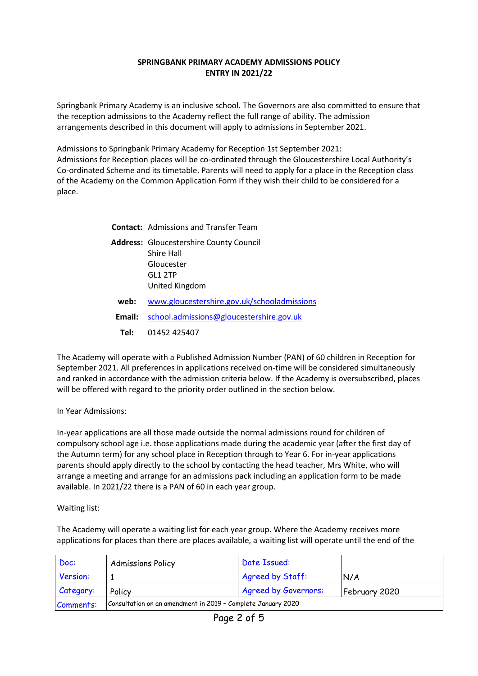## **SPRINGBANK PRIMARY ACADEMY ADMISSIONS POLICY ENTRY IN 2021/22**

Springbank Primary Academy is an inclusive school. The Governors are also committed to ensure that the reception admissions to the Academy reflect the full range of ability. The admission arrangements described in this document will apply to admissions in September 2021.

Admissions to Springbank Primary Academy for Reception 1st September 2021: Admissions for Reception places will be co-ordinated through the Gloucestershire Local Authority's Co-ordinated Scheme and its timetable. Parents will need to apply for a place in the Reception class of the Academy on the Common Application Form if they wish their child to be considered for a place.

|        | <b>Contact:</b> Admissions and Transfer Team                                                            |
|--------|---------------------------------------------------------------------------------------------------------|
|        | <b>Address:</b> Gloucestershire County Council<br>Shire Hall<br>Gloucester<br>GL1 2TP<br>United Kingdom |
| web:   | www.gloucestershire.gov.uk/schooladmissions                                                             |
| Email: | school.admissions@gloucestershire.gov.uk                                                                |
| Tel: T | 01452 425407                                                                                            |

The Academy will operate with a Published Admission Number (PAN) of 60 children in Reception for September 2021. All preferences in applications received on-time will be considered simultaneously and ranked in accordance with the admission criteria below. If the Academy is oversubscribed, places will be offered with regard to the priority order outlined in the section below.

In Year Admissions:

In-year applications are all those made outside the normal admissions round for children of compulsory school age i.e. those applications made during the academic year (after the first day of the Autumn term) for any school place in Reception through to Year 6. For in-year applications parents should apply directly to the school by contacting the head teacher, Mrs White, who will arrange a meeting and arrange for an admissions pack including an application form to be made available. In 2021/22 there is a PAN of 60 in each year group.

Waiting list:

The Academy will operate a waiting list for each year group. Where the Academy receives more applications for places than there are places available, a waiting list will operate until the end of the

| Doc:             | <b>Admissions Policy</b>                                     | Date Issued:     |               |
|------------------|--------------------------------------------------------------|------------------|---------------|
| Version:         |                                                              | Agreed by Staff: | N/A           |
| <i>Category:</i> | <b>Agreed by Governors:</b><br>Policy                        |                  | February 2020 |
| Comments:        | Consultation on an amendment in 2019 - Complete January 2020 |                  |               |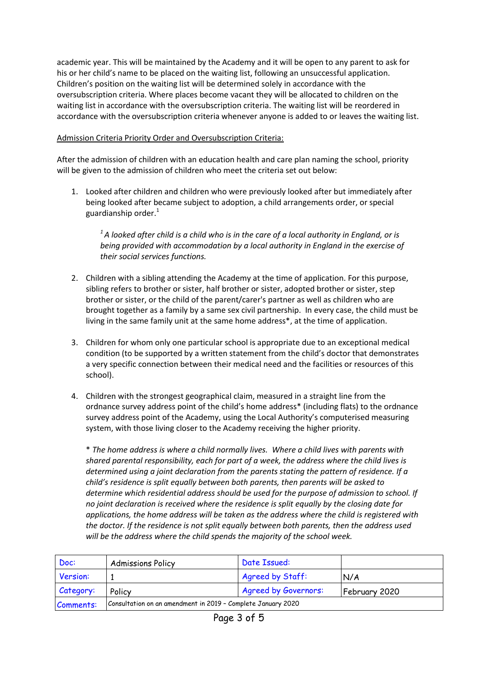academic year. This will be maintained by the Academy and it will be open to any parent to ask for his or her child's name to be placed on the waiting list, following an unsuccessful application. Children's position on the waiting list will be determined solely in accordance with the oversubscription criteria. Where places become vacant they will be allocated to children on the waiting list in accordance with the oversubscription criteria. The waiting list will be reordered in accordance with the oversubscription criteria whenever anyone is added to or leaves the waiting list.

# Admission Criteria Priority Order and Oversubscription Criteria:

After the admission of children with an education health and care plan naming the school, priority will be given to the admission of children who meet the criteria set out below:

1. Looked after children and children who were previously looked after but immediately after being looked after became subject to adoption, a child arrangements order, or special guardianship order. $1$ 

*<sup>1</sup>A looked after child is a child who is in the care of a local authority in England, or is being provided with accommodation by a local authority in England in the exercise of their social services functions.* 

- 2. Children with a sibling attending the Academy at the time of application. For this purpose, sibling refers to brother or sister, half brother or sister, adopted brother or sister, step brother or sister, or the child of the parent/carer's partner as well as children who are brought together as a family by a same sex civil partnership. In every case, the child must be living in the same family unit at the same home address\*, at the time of application.
- 3. Children for whom only one particular school is appropriate due to an exceptional medical condition (to be supported by a written statement from the child's doctor that demonstrates a very specific connection between their medical need and the facilities or resources of this school).
- 4. Children with the strongest geographical claim, measured in a straight line from the ordnance survey address point of the child's home address\* (including flats) to the ordnance survey address point of the Academy, using the Local Authority's computerised measuring system, with those living closer to the Academy receiving the higher priority.

\* *The home address is where a child normally lives. Where a child lives with parents with shared parental responsibility, each for part of a week, the address where the child lives is determined using a joint declaration from the parents stating the pattern of residence. If a child's residence is split equally between both parents, then parents will be asked to determine which residential address should be used for the purpose of admission to school. If no joint declaration is received where the residence is split equally by the closing date for applications, the home address will be taken as the address where the child is registered with the doctor. If the residence is not split equally between both parents, then the address used will be the address where the child spends the majority of the school week.*

| Doc:      | <b>Admissions Policy</b>                                     | Date Issued:     |     |
|-----------|--------------------------------------------------------------|------------------|-----|
| Version:  |                                                              | Agreed by Staff: | N/A |
| Category: | Policy                                                       | February 2020    |     |
| Comments: | Consultation on an amendment in 2019 - Complete January 2020 |                  |     |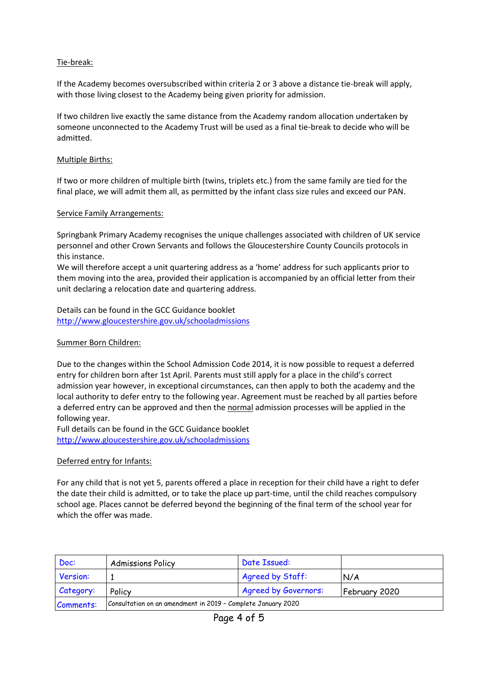# Tie-break:

If the Academy becomes oversubscribed within criteria 2 or 3 above a distance tie-break will apply, with those living closest to the Academy being given priority for admission.

If two children live exactly the same distance from the Academy random allocation undertaken by someone unconnected to the Academy Trust will be used as a final tie-break to decide who will be admitted.

#### Multiple Births:

If two or more children of multiple birth (twins, triplets etc.) from the same family are tied for the final place, we will admit them all, as permitted by the infant class size rules and exceed our PAN.

#### Service Family Arrangements:

Springbank Primary Academy recognises the unique challenges associated with children of UK service personnel and other Crown Servants and follows the Gloucestershire County Councils protocols in this instance.

We will therefore accept a unit quartering address as a 'home' address for such applicants prior to them moving into the area, provided their application is accompanied by an official letter from their unit declaring a relocation date and quartering address.

Details can be found in the GCC Guidance booklet <http://www.gloucestershire.gov.uk/schooladmissions>

#### Summer Born Children:

Due to the changes within the School Admission Code 2014, it is now possible to request a deferred entry for children born after 1st April. Parents must still apply for a place in the child's correct admission year however, in exceptional circumstances, can then apply to both the academy and the local authority to defer entry to the following year. Agreement must be reached by all parties before a deferred entry can be approved and then the normal admission processes will be applied in the following year.

Full details can be found in the GCC Guidance booklet <http://www.gloucestershire.gov.uk/schooladmissions>

## Deferred entry for Infants:

For any child that is not yet 5, parents offered a place in reception for their child have a right to defer the date their child is admitted, or to take the place up part-time, until the child reaches compulsory school age. Places cannot be deferred beyond the beginning of the final term of the school year for which the offer was made.

| Doc:      | <b>Admissions Policy</b>                                     | Date Issued:                |               |
|-----------|--------------------------------------------------------------|-----------------------------|---------------|
| Version:  |                                                              | Agreed by Staff:            | N/A           |
| Category: | Policy                                                       | <b>Agreed by Governors:</b> | February 2020 |
| Comments: | Consultation on an amendment in 2019 - Complete January 2020 |                             |               |